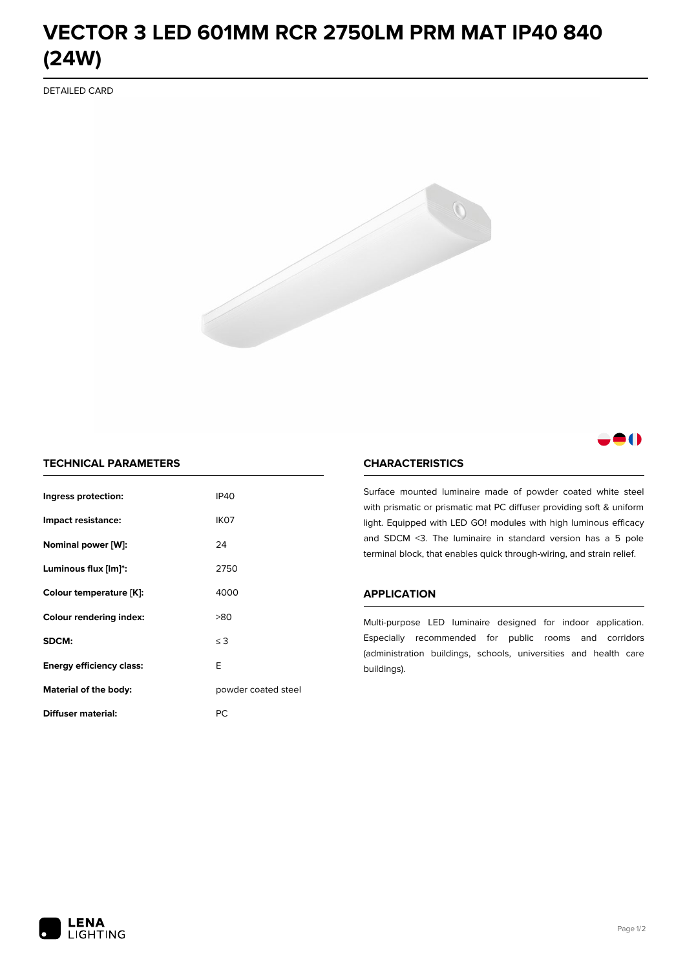# **VECTOR 3 LED 601MM RCR 2750LM PRM MAT IP40 840 (24W)**

DETAILED CARD



## 80

### **TECHNICAL PARAMETERS**

| Ingress protection:             | <b>IP40</b>         |  |
|---------------------------------|---------------------|--|
| Impact resistance:              | IK <sub>07</sub>    |  |
| Nominal power [W]:              | 24                  |  |
| Luminous flux [lm]*:            | 2750                |  |
| Colour temperature [K]:         | 4000                |  |
| <b>Colour rendering index:</b>  | >80                 |  |
| SDCM:                           | $\leq$ 3            |  |
| <b>Energy efficiency class:</b> | E                   |  |
| Material of the body:           | powder coated steel |  |
| Diffuser material:              | РC                  |  |

#### **CHARACTERISTICS**

Surface mounted luminaire made of powder coated white steel with prismatic or prismatic mat PC diffuser providing soft & uniform light. Equipped with LED GO! modules with high luminous efficacy and SDCM <3. The luminaire in standard version has a 5 pole terminal block, that enables quick through-wiring, and strain relief.

#### **APPLICATION**

Multi-purpose LED luminaire designed for indoor application. Especially recommended for public rooms and corridors (administration buildings, schools, universities and health care buildings).